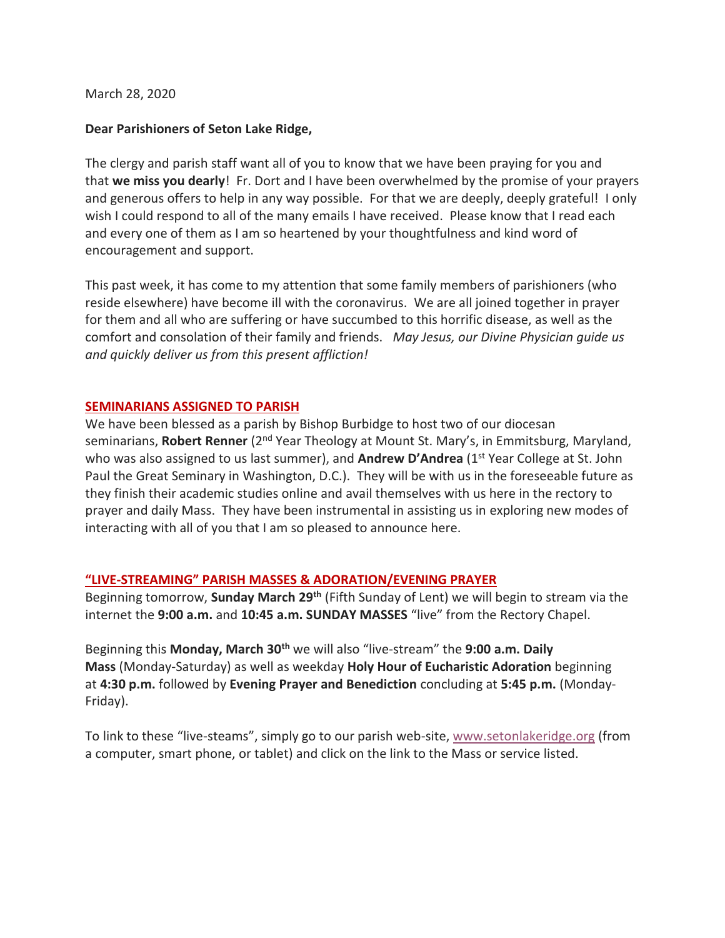March 28, 2020

## **Dear Parishioners of Seton Lake Ridge,**

The clergy and parish staff want all of you to know that we have been praying for you and that **we miss you dearly**! Fr. Dort and I have been overwhelmed by the promise of your prayers and generous offers to help in any way possible. For that we are deeply, deeply grateful! I only wish I could respond to all of the many emails I have received. Please know that I read each and every one of them as I am so heartened by your thoughtfulness and kind word of encouragement and support.

This past week, it has come to my attention that some family members of parishioners (who reside elsewhere) have become ill with the coronavirus. We are all joined together in prayer for them and all who are suffering or have succumbed to this horrific disease, as well as the comfort and consolation of their family and friends. *May Jesus, our Divine Physician guide us and quickly deliver us from this present affliction!*

### **SEMINARIANS ASSIGNED TO PARISH**

We have been blessed as a parish by Bishop Burbidge to host two of our diocesan seminarians, **Robert Renner** (2nd Year Theology at Mount St. Mary's, in Emmitsburg, Maryland, who was also assigned to us last summer), and **Andrew D'Andrea** (1<sup>st</sup> Year College at St. John Paul the Great Seminary in Washington, D.C.). They will be with us in the foreseeable future as they finish their academic studies online and avail themselves with us here in the rectory to prayer and daily Mass. They have been instrumental in assisting us in exploring new modes of interacting with all of you that I am so pleased to announce here.

## **"LIVE-STREAMING" PARISH MASSES & ADORATION/EVENING PRAYER**

Beginning tomorrow, **Sunday March 29th** (Fifth Sunday of Lent) we will begin to stream via the internet the **9:00 a.m.** and **10:45 a.m. SUNDAY MASSES** "live" from the Rectory Chapel.

Beginning this **Monday, March 30th** we will also "live-stream" the **9:00 a.m. Daily Mass** (Monday-Saturday) as well as weekday **Holy Hour of Eucharistic Adoration** beginning at **4:30 p.m.** followed by **Evening Prayer and Benediction** concluding at **5:45 p.m.** (Monday-Friday).

To link to these "live-steams", simply go to our parish web-site, www.setonlakeridge.org (from a computer, smart phone, or tablet) and click on the link to the Mass or service listed.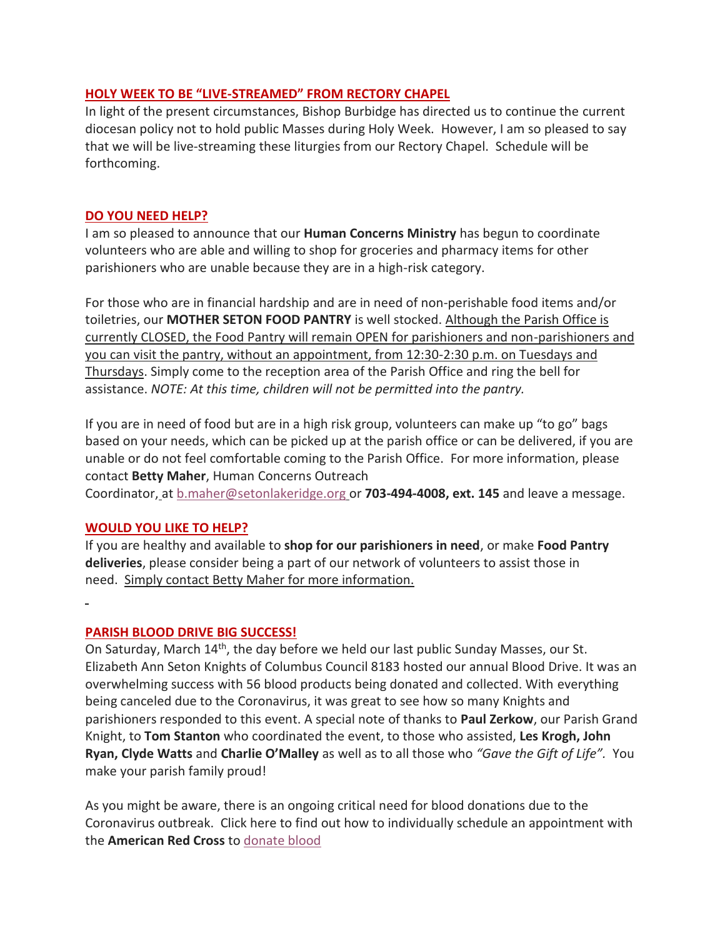## **HOLY WEEK TO BE "LIVE-STREAMED" FROM RECTORY CHAPEL**

In light of the present circumstances, Bishop Burbidge has directed us to continue the current diocesan policy not to hold public Masses during Holy Week. However, I am so pleased to say that we will be live-streaming these liturgies from our Rectory Chapel. Schedule will be forthcoming.

### **DO YOU NEED HELP?**

I am so pleased to announce that our **Human Concerns Ministry** has begun to coordinate volunteers who are able and willing to shop for groceries and pharmacy items for other parishioners who are unable because they are in a high-risk category.

For those who are in financial hardship and are in need of non-perishable food items and/or toiletries, our **MOTHER SETON FOOD PANTRY** is well stocked. Although the Parish Office is currently CLOSED, the Food Pantry will remain OPEN for parishioners and non-parishioners and you can visit the pantry, without an appointment, from 12:30-2:30 p.m. on Tuesdays and Thursdays. Simply come to the reception area of the Parish Office and ring the bell for assistance. *NOTE: At this time, children will not be permitted into the pantry.*

If you are in need of food but are in a high risk group, volunteers can make up "to go" bags based on your needs, which can be picked up at the parish office or can be delivered, if you are unable or do not feel comfortable coming to the Parish Office. For more information, please contact **Betty Maher**, Human Concerns Outreach

Coordinator, at b.maher@setonlakeridge.org or **703-494-4008, ext. 145** and leave a message.

## **WOULD YOU LIKE TO HELP?**

If you are healthy and available to **shop for our parishioners in need**, or make **Food Pantry deliveries**, please consider being a part of our network of volunteers to assist those in need. Simply contact Betty Maher for more information.

#### **PARISH BLOOD DRIVE BIG SUCCESS!**

On Saturday, March 14<sup>th</sup>, the day before we held our last public Sunday Masses, our St. Elizabeth Ann Seton Knights of Columbus Council 8183 hosted our annual Blood Drive. It was an overwhelming success with 56 blood products being donated and collected. With everything being canceled due to the Coronavirus, it was great to see how so many Knights and parishioners responded to this event. A special note of thanks to **Paul Zerkow**, our Parish Grand Knight, to **Tom Stanton** who coordinated the event, to those who assisted, **Les Krogh, John Ryan, Clyde Watts** and **Charlie O'Malley** as well as to all those who *"Gave the Gift of Life".* You make your parish family proud!

As you might be aware, there is an ongoing critical need for blood donations due to the Coronavirus outbreak. Click here to find out how to individually schedule an appointment with the **American Red Cross** to donate blood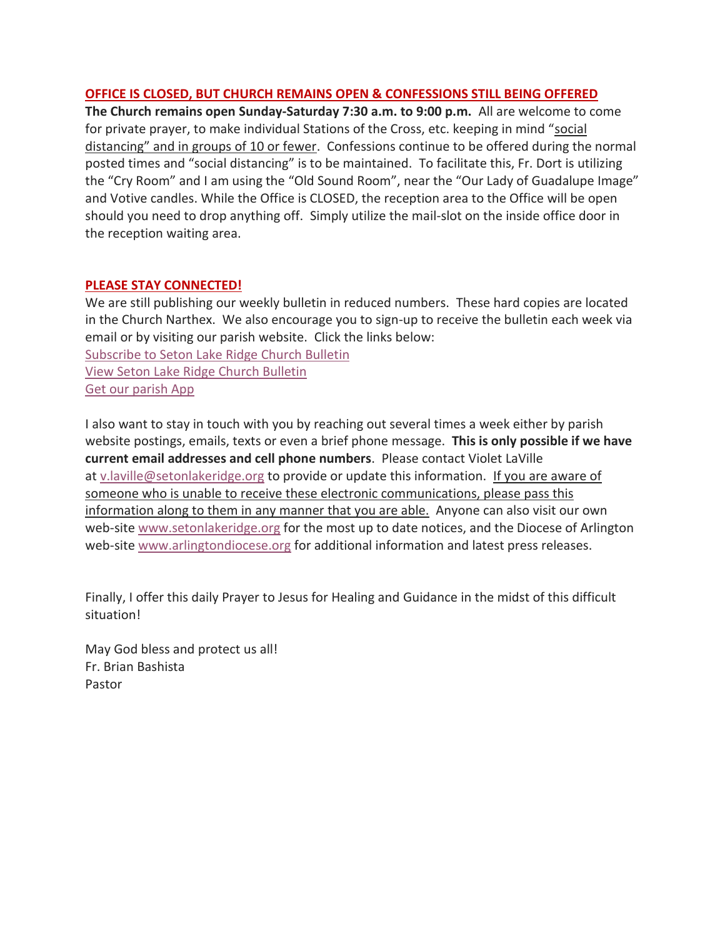# **OFFICE IS CLOSED, BUT CHURCH REMAINS OPEN & CONFESSIONS STILL BEING OFFERED**

**The Church remains open Sunday-Saturday 7:30 a.m. to 9:00 p.m.** All are welcome to come for private prayer, to make individual Stations of the Cross, etc. keeping in mind "social distancing" and in groups of 10 or fewer. Confessions continue to be offered during the normal posted times and "social distancing" is to be maintained. To facilitate this, Fr. Dort is utilizing the "Cry Room" and I am using the "Old Sound Room", near the "Our Lady of Guadalupe Image" and Votive candles. While the Office is CLOSED, the reception area to the Office will be open should you need to drop anything off. Simply utilize the mail-slot on the inside office door in the reception waiting area.

## **PLEASE STAY CONNECTED!**

We are still publishing our weekly bulletin in reduced numbers. These hard copies are located in the Church Narthex. We also encourage you to sign-up to receive the bulletin each week via email or by visiting our parish website. Click the links below: Subscribe to Seton Lake Ridge Church Bulletin View Seton Lake Ridge Church Bulletin Get our parish App

I also want to stay in touch with you by reaching out several times a week either by parish website postings, emails, texts or even a brief phone message. **This is only possible if we have current email addresses and cell phone numbers**. Please contact Violet LaVille at v.laville@setonlakeridge.org to provide or update this information. If you are aware of someone who is unable to receive these electronic communications, please pass this information along to them in any manner that you are able. Anyone can also visit our own web-site www.setonlakeridge.org for the most up to date notices, and the Diocese of Arlington web-site www.arlingtondiocese.org for additional information and latest press releases.

Finally, I offer this daily Prayer to Jesus for Healing and Guidance in the midst of this difficult situation!

May God bless and protect us all! Fr. Brian Bashista Pastor